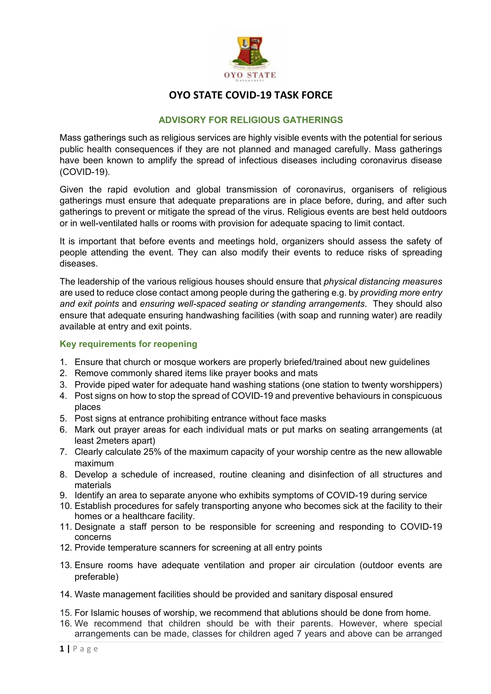

#### **ADVISORY FOR RELIGIOUS GATHERINGS**

Mass gatherings such as religious services are highly visible events with the potential for serious public health consequences if they are not planned and managed carefully. Mass gatherings have been known to amplify the spread of infectious diseases including coronavirus disease (COVID-19).

Given the rapid evolution and global transmission of coronavirus, organisers of religious gatherings must ensure that adequate preparations are in place before, during, and after such gatherings to prevent or mitigate the spread of the virus. Religious events are best held outdoors or in well-ventilated halls or rooms with provision for adequate spacing to limit contact.

It is important that before events and meetings hold, organizers should assess the safety of people attending the event. They can also modify their events to reduce risks of spreading diseases.

The leadership of the various religious houses should ensure that *physical distancing measures* are used to reduce close contact among people during the gathering e.g. by *providing more entry and exit points* and *ensuring well-spaced seating or standing arrangements*. They should also ensure that adequate ensuring handwashing facilities (with soap and running water) are readily available at entry and exit points.

#### **Key requirements for reopening**

- 1. Ensure that church or mosque workers are properly briefed/trained about new guidelines
- 2. Remove commonly shared items like prayer books and mats
- 3. Provide piped water for adequate hand washing stations (one station to twenty worshippers)
- 4. Post signs on how to stop the spread of COVID-19 and preventive behaviours in conspicuous places
- 5. Post signs at entrance prohibiting entrance without face masks
- 6. Mark out prayer areas for each individual mats or put marks on seating arrangements (at least 2meters apart)
- 7. Clearly calculate 25% of the maximum capacity of your worship centre as the new allowable maximum
- 8. Develop a schedule of increased, routine cleaning and disinfection of all structures and materials
- 9. Identify an area to separate anyone who exhibits symptoms of COVID-19 during service
- 10. Establish procedures for safely transporting anyone who becomes sick at the facility to their homes or a healthcare facility.
- 11. Designate a staff person to be responsible for screening and responding to COVID-19 concerns
- 12. Provide temperature scanners for screening at all entry points
- 13. Ensure rooms have adequate ventilation and proper air circulation (outdoor events are preferable)
- 14. Waste management facilities should be provided and sanitary disposal ensured
- 15. For Islamic houses of worship, we recommend that ablutions should be done from home.
- 16. We recommend that children should be with their parents. However, where special arrangements can be made, classes for children aged 7 years and above can be arranged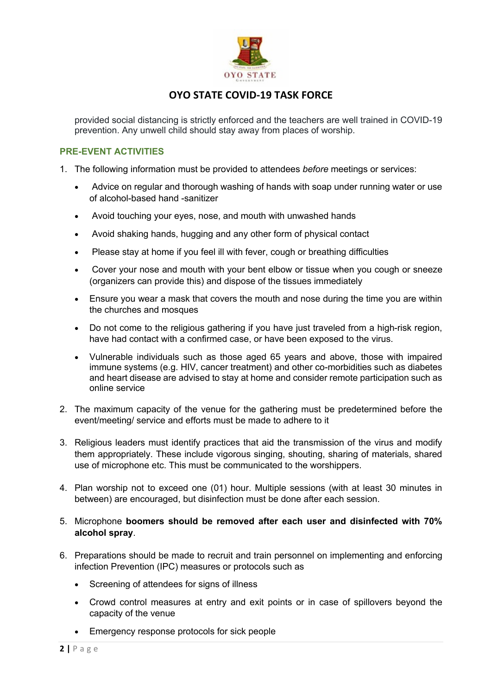

provided social distancing is strictly enforced and the teachers are well trained in COVID-19 prevention. Any unwell child should stay away from places of worship.

#### **PRE-EVENT ACTIVITIES**

- 1. The following information must be provided to attendees *before* meetings or services:
	- Advice on regular and thorough washing of hands with soap under running water or use of alcohol-based hand -sanitizer
	- Avoid touching your eyes, nose, and mouth with unwashed hands
	- Avoid shaking hands, hugging and any other form of physical contact
	- Please stay at home if you feel ill with fever, cough or breathing difficulties
	- Cover your nose and mouth with your bent elbow or tissue when you cough or sneeze (organizers can provide this) and dispose of the tissues immediately
	- Ensure you wear a mask that covers the mouth and nose during the time you are within the churches and mosques
	- Do not come to the religious gathering if you have just traveled from a high-risk region, have had contact with a confirmed case, or have been exposed to the virus.
	- Vulnerable individuals such as those aged 65 years and above, those with impaired immune systems (e.g. HIV, cancer treatment) and other co-morbidities such as diabetes and heart disease are advised to stay at home and consider remote participation such as online service
- 2. The maximum capacity of the venue for the gathering must be predetermined before the event/meeting/ service and efforts must be made to adhere to it
- 3. Religious leaders must identify practices that aid the transmission of the virus and modify them appropriately. These include vigorous singing, shouting, sharing of materials, shared use of microphone etc. This must be communicated to the worshippers.
- 4. Plan worship not to exceed one (01) hour. Multiple sessions (with at least 30 minutes in between) are encouraged, but disinfection must be done after each session.
- 5. Microphone **boomers should be removed after each user and disinfected with 70% alcohol spray**.
- 6. Preparations should be made to recruit and train personnel on implementing and enforcing infection Prevention (IPC) measures or protocols such as
	- Screening of attendees for signs of illness
	- Crowd control measures at entry and exit points or in case of spillovers beyond the capacity of the venue
	- Emergency response protocols for sick people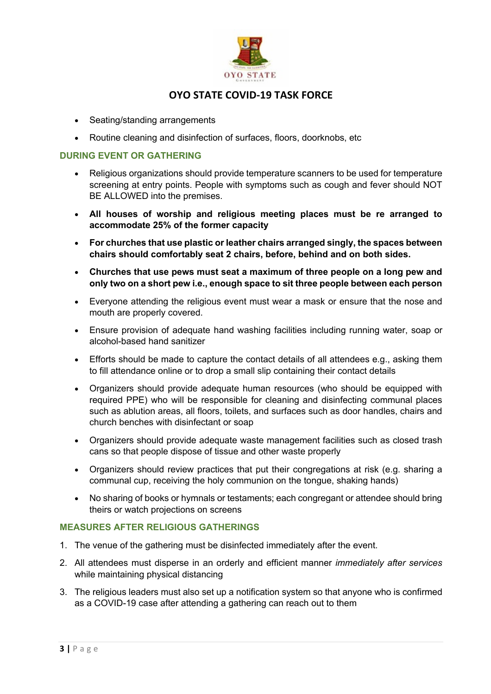

- Seating/standing arrangements
- Routine cleaning and disinfection of surfaces, floors, doorknobs, etc

#### **DURING EVENT OR GATHERING**

- Religious organizations should provide temperature scanners to be used for temperature screening at entry points. People with symptoms such as cough and fever should NOT BE ALLOWED into the premises.
- **All houses of worship and religious meeting places must be re arranged to accommodate 25% of the former capacity**
- **For churches that use plastic or leather chairs arranged singly, the spaces between chairs should comfortably seat 2 chairs, before, behind and on both sides.**
- **Churches that use pews must seat a maximum of three people on a long pew and only two on a short pew i.e., enough space to sit three people between each person**
- Everyone attending the religious event must wear a mask or ensure that the nose and mouth are properly covered.
- Ensure provision of adequate hand washing facilities including running water, soap or alcohol-based hand sanitizer
- Efforts should be made to capture the contact details of all attendees e.g., asking them to fill attendance online or to drop a small slip containing their contact details
- Organizers should provide adequate human resources (who should be equipped with required PPE) who will be responsible for cleaning and disinfecting communal places such as ablution areas, all floors, toilets, and surfaces such as door handles, chairs and church benches with disinfectant or soap
- Organizers should provide adequate waste management facilities such as closed trash cans so that people dispose of tissue and other waste properly
- Organizers should review practices that put their congregations at risk (e.g. sharing a communal cup, receiving the holy communion on the tongue, shaking hands)
- No sharing of books or hymnals or testaments; each congregant or attendee should bring theirs or watch projections on screens

#### **MEASURES AFTER RELIGIOUS GATHERINGS**

- 1. The venue of the gathering must be disinfected immediately after the event.
- 2. All attendees must disperse in an orderly and efficient manner *immediately after services* while maintaining physical distancing
- 3. The religious leaders must also set up a notification system so that anyone who is confirmed as a COVID-19 case after attending a gathering can reach out to them